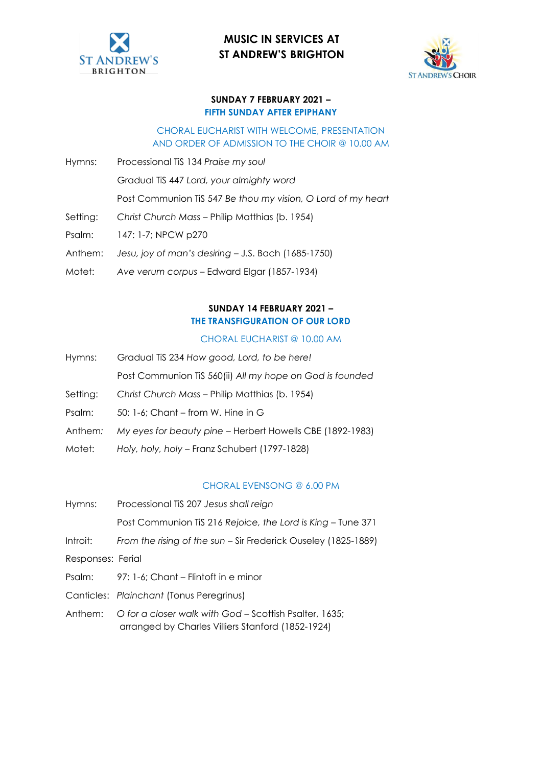



#### **SUNDAY 7 FEBRUARY 2021 – FIFTH SUNDAY AFTER EPIPHANY**

#### CHORAL EUCHARIST WITH WELCOME, PRESENTATION AND ORDER OF ADMISSION TO THE CHOIR @ 10.00 AM

- Hymns: Processional TiS 134 *Praise my soul* Gradual TiS 447 *Lord, your almighty word* Post Communion TiS 547 *Be thou my vision, O Lord of my heart*
- Setting: *Christ Church Mass*  Philip Matthias (b. 1954)
- Psalm: 147: 1-7; NPCW p270
- Anthem: *Jesu, joy of man's desiring* J.S. Bach (1685-1750)
- Motet: *Ave verum corpus* Edward Elgar (1857-1934)

### **SUNDAY 14 FEBRUARY 2021 – THE TRANSFIGURATION OF OUR LORD**

#### CHORAL EUCHARIST @ 10.00 AM

Hymns: Gradual TiS 234 *How good, Lord, to be here!* Post Communion TiS 560(ii) *All my hope on God is founded*

Setting: *Christ Church Mass* – Philip Matthias (b. 1954)

- Psalm: 50: 1-6; Chant from W. Hine in G
- Anthem*: My eyes for beauty pine* Herbert Howells CBE (1892-1983)
- Motet: *Holy, holy, holy* Franz Schubert (1797-1828)

#### CHORAL EVENSONG @ 6.00 PM

| Hymns:            | Processional TiS 207 Jesus shall reign                                                                      |
|-------------------|-------------------------------------------------------------------------------------------------------------|
|                   | Post Communion TiS 216 Rejoice, the Lord is King – Tune 371                                                 |
| Introit:          | From the rising of the sun – Sir Frederick Ouseley (1825-1889)                                              |
| Responses: Ferial |                                                                                                             |
|                   | Psalm: 97: 1-6; Chant – Flintoft in e minor                                                                 |
|                   | Canticles: Plainchant (Tonus Peregrinus)                                                                    |
| Anthem:           | O for a closer walk with God - Scottish Psalter, 1635;<br>arranged by Charles Villiers Stanford (1852-1924) |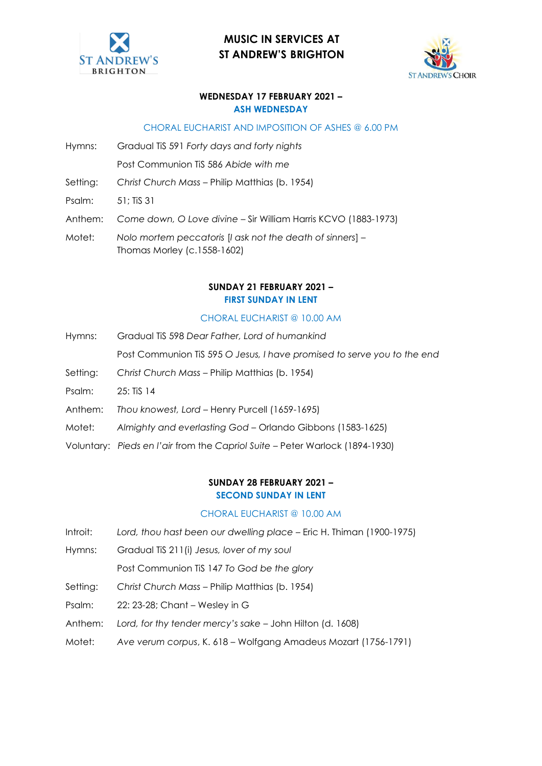



#### **WEDNESDAY 17 FEBRUARY 2021 – ASH WEDNESDAY**

#### CHORAL EUCHARIST AND IMPOSITION OF ASHES @ 6.00 PM

Hymns: Gradual TiS 591 *Forty days and forty nights* 

Post Communion TiS 586 *Abide with me*

Setting: *Christ Church Mass* – Philip Matthias (b. 1954)

Psalm: 51; TiS 31

Anthem: *Come down, O Love divine* – Sir William Harris KCVO (1883-1973)

Motet: *Nolo mortem peccatoris* [*I ask not the death of sinners*] – Thomas Morley (c.1558-1602)

#### **SUNDAY 21 FEBRUARY 2021 – FIRST SUNDAY IN LENT**

#### CHORAL EUCHARIST @ 10.00 AM

Hymns: Gradual TiS 598 *Dear Father, Lord of humankind*

Post Communion TiS 595 *O Jesus, I have promised to serve you to the end* 

- Setting: *Christ Church Mass*  Philip Matthias (b. 1954)
- Psalm: 25: TiS 14
- Anthem: *Thou knowest, Lord* Henry Purcell (1659-1695)
- Motet: *Almighty and everlasting God* Orlando Gibbons (1583-1625)
- Voluntary: *Pieds en l'air* from the *Capriol Suite* Peter Warlock (1894-1930)

#### **SUNDAY 28 FEBRUARY 2021 – SECOND SUNDAY IN LENT**

#### CHORAL EUCHARIST @ 10.00 AM

- Introit: *Lord, thou hast been our dwelling place* Eric H. Thiman (1900-1975)
- Hymns: Gradual TiS 211(i) *Jesus, lover of my soul*

Post Communion TiS 147 *To God be the glory*

- Setting: *Christ Church Mass* Philip Matthias (b. 1954)
- Psalm: 22: 23-28; Chant Wesley in G
- Anthem: *Lord, for thy tender mercy's sake* John Hilton (d. 1608)
- Motet: *Ave verum corpus*, K. 618 Wolfgang Amadeus Mozart (1756-1791)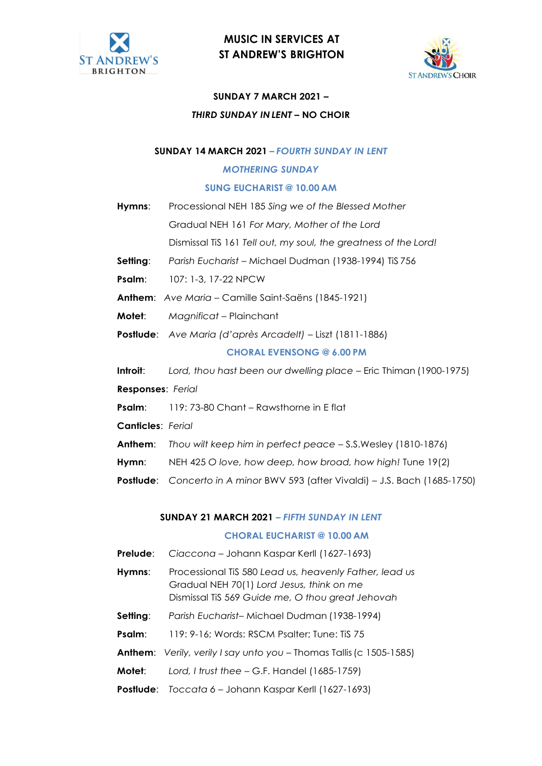



#### **SUNDAY 7 MARCH 2021 –**

#### *THIRD SUNDAY IN LENT* **– NO CHOIR**

#### **SUNDAY 14 MARCH 2021 –** *FOURTH SUNDAY IN LENT*

#### *MOTHERING SUNDAY*

#### **SUNG EUCHARIST @ 10.00 AM**

- **Hymns**: Processional NEH 185 *Sing we of the Blessed Mother*  Gradual NEH 161 *For Mary, Mother of the Lord*  Dismissal TiS 161 *Tell out, my soul, the greatness of the Lord!*
- **Setting**: *Parish Eucharist*  Michael Dudman (1938-1994) TiS 756
- **Psalm**: 107: 1-3, 17-22 NPCW
- **Anthem**: *Ave Maria*  Camille Saint-Saëns (1845-1921)
- **Motet:** *Magnificat Plainchant*
- **Postlude**: *Ave Maria (d'après Arcadelt)* Liszt (1811-1886)

#### **CHORAL EVENSONG @ 6.00 PM**

**Introit**: *Lord, thou hast been our dwelling place* – Eric Thiman (1900-1975)

**Responses**: *Ferial*

- **Psalm**: 119: 73-80 Chant Rawsthorne in E flat
- **Canticles**: *Ferial*
- **Anthem**: *Thou wilt keep him in perfect peace*  S.S.Wesley (1810-1876)
- **Hymn**: NEH 425 *O love, how deep, how broad, how high!* Tune 19(2)
- **Postlude**: *Concerto in A minor* BWV 593 (after Vivaldi) J.S. Bach (1685-1750)

#### **SUNDAY 21 MARCH 2021 –** *FIFTH SUNDAY IN LENT*

#### **CHORAL EUCHARIST @ 10.00 AM**

- **Prelude**: *Ciaccona* Johann Kaspar Kerll (1627-1693)
- **Hymns**: Processional TiS 580 *Lead us, heavenly Father, lead us* Gradual NEH 70(1) *Lord Jesus, think on me*  Dismissal TiS 569 *Guide me, O thou great Jehovah*
- **Setting**: *Parish Eucharist* Michael Dudman (1938-1994)
- **Psalm:** 119: 9-16; Words: RSCM Psalter; Tune: TiS 75
- **Anthem:** *Verily, verily I say unto you Thomas Tallis (c 1505-1585)*
- **Motet**: *Lord, I trust thee*  G.F. Handel (1685-1759)
- **Postlude**: *Toccata 6* Johann Kaspar Kerll (1627-1693)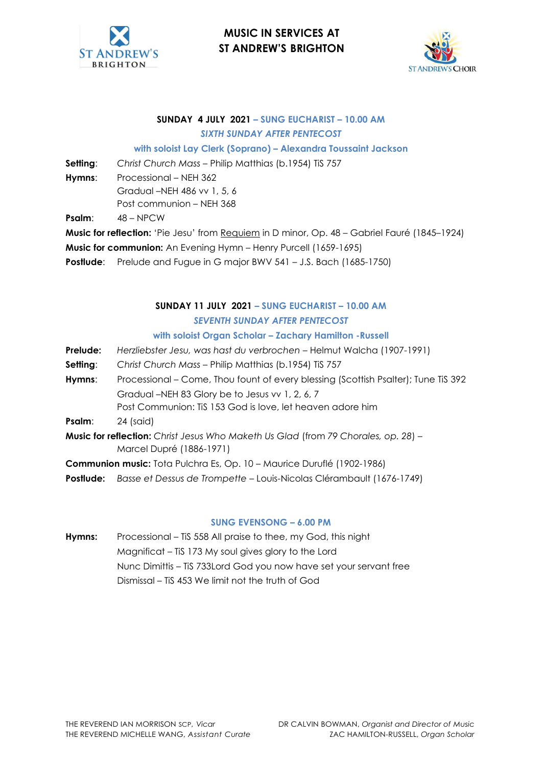



#### **SUNDAY 4 JULY 2021 – SUNG EUCHARIST – 10.00 AM** *SIXTH SUNDAY AFTER PENTECOST*

**with soloist Lay Clerk (Soprano) – Alexandra Toussaint Jackson**

**Setting:** Christ Church Mass - Philip Matthias (b.1954) TiS 757

**Hymns**: Processional – NEH 362 Gradual –NEH 486 vv 1, 5, 6 Post communion – NEH 368

**Psalm**: 48 – NPCW

**Music for reflection:** 'Pie Jesu' from Requiem in D minor, Op. 48 – Gabriel Fauré (1845–1924)

- **Music for communion:** An Evening Hymn Henry Purcell (1659-1695)
- **Postlude:** Prelude and Fugue in G major BWV 541 J.S. Bach (1685-1750)

### **SUNDAY 11 JULY 2021 – SUNG EUCHARIST – 10.00 AM** *SEVENTH SUNDAY AFTER PENTECOST*

#### **with soloist Organ Scholar – Zachary Hamilton -Russell**

- **Prelude:** *Herzliebster Jesu, was hast du verbrochen*  Helmut Walcha (1907-1991)
- **Setting:** Christ Church Mass Philip Matthias (b.1954) TiS 757
- **Hymns**: Processional Come, Thou fount of every blessing (Scottish Psalter); Tune TiS 392 Gradual –NEH 83 Glory be to Jesus vv 1, 2, 6, 7 Post Communion: TiS 153 God is love, let heaven adore him
- **Psalm:** 24 (said)
- **Music for reflection:** *Christ Jesus Who Maketh Us Glad* (from *79 Chorales, op. 28*) Marcel Dupré (1886-1971)
- **Communion music:** Tota Pulchra Es, Op. 10 Maurice Duruflé (1902-1986)
- **Postlude:** *Basse et Dessus de Trompette*  Louis-Nicolas Clérambault (1676-1749)

#### **SUNG EVENSONG – 6.00 PM**

**Hymns:** Processional – TiS 558 All praise to thee, my God, this night Magnificat – TiS 173 My soul gives glory to the Lord Nunc Dimittis – TiS 733Lord God you now have set your servant free Dismissal – TiS 453 We limit not the truth of God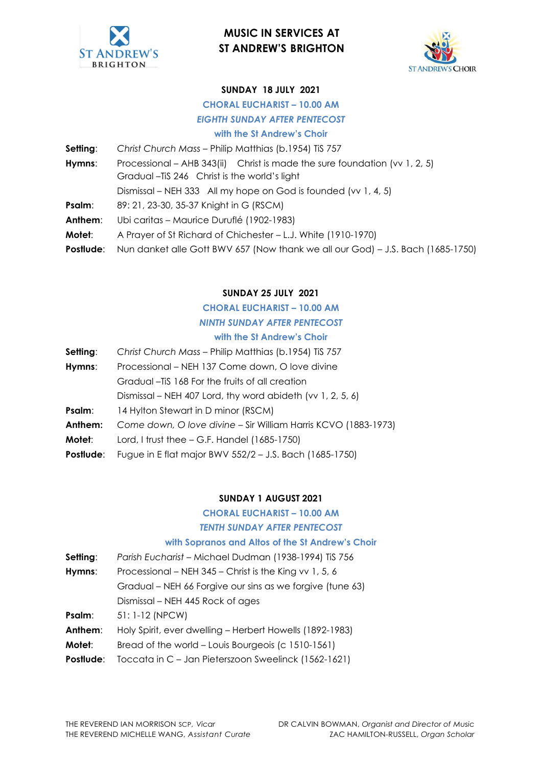



### **SUNDAY 18 JULY 2021**

# **CHORAL EUCHARIST – 10.00 AM**

## *EIGHTH SUNDAY AFTER PENTECOST*

**with the St Andrew's Choir**

**Setting:** *Christ Church Mass - Philip Matthias (b.1954) TiS 757* Hymns: Processional – AHB 343(ii) Christ is made the sure foundation (vv 1, 2, 5) Gradual –TiS 246 Christ is the world's light Dismissal – NEH 333 All my hope on God is founded (vv 1, 4, 5) **Psalm:** 89: 21, 23-30, 35-37 Knight in G (RSCM) **Anthem**: Ubi caritas – Maurice Duruflé (1902-1983) **Motet**: A Prayer of St Richard of Chichester – L.J. White (1910-1970) **Postlude:** Nun danket alle Gott BWV 657 (Now thank we all our God) – J.S. Bach (1685-1750)

### **SUNDAY 25 JULY 2021**

### **CHORAL EUCHARIST – 10.00 AM** *NINTH SUNDAY AFTER PENTECOST* **with the St Andrew's Choir**

| Setting:  | Christ Church Mass - Philip Matthias (b.1954) TiS 757          |
|-----------|----------------------------------------------------------------|
| Hymns:    | Processional – NEH 137 Come down, O love divine                |
|           | Gradual –TiS 168 For the fruits of all creation                |
|           | Dismissal – NEH 407 Lord, thy word abideth (vv 1, 2, 5, 6)     |
| Psalm:    | 14 Hylton Stewart in D minor (RSCM)                            |
| Anthem:   | Come down, O love divine - Sir William Harris KCVO (1883-1973) |
| Motet:    | Lord, I trust thee $-$ G.F. Handel (1685-1750)                 |
| Postlude: | Fugue in E flat major BWV 552/2 - J.S. Bach (1685-1750)        |

#### **SUNDAY 1 AUGUST 2021**

## **CHORAL EUCHARIST – 10.00 AM**

### *TENTH SUNDAY AFTER PENTECOST*

#### **with Sopranos and Altos of the St Andrew's Choir**

| Setting:  | Parish Eucharist - Michael Dudman (1938-1994) TiS 756     |
|-----------|-----------------------------------------------------------|
| Hymns:    | Processional - NEH 345 - Christ is the King vv 1, 5, 6    |
|           | Gradual - NEH 66 Forgive our sins as we forgive (tune 63) |
|           | Dismissal – NEH 445 Rock of ages                          |
| Psalm:    | 51: 1-12 (NPCW)                                           |
| Anthem:   | Holy Spirit, ever dwelling – Herbert Howells (1892-1983)  |
| Motet:    | Bread of the world – Louis Bourgeois (c 1510-1561)        |
| Postlude: | Toccata in C - Jan Pieterszoon Sweelinck (1562-1621)      |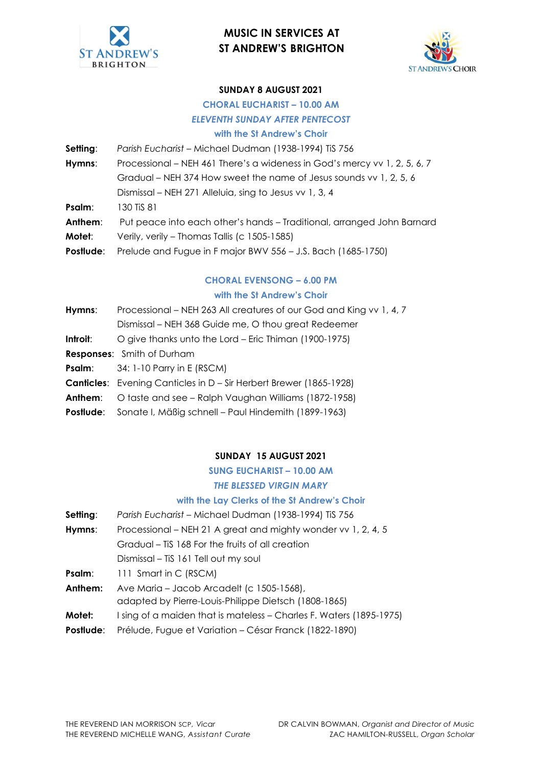



#### **SUNDAY 8 AUGUST 2021**

## **CHORAL EUCHARIST – 10.00 AM** *ELEVENTH SUNDAY AFTER PENTECOST*

#### **with the St Andrew's Choir**

| Setting:  | Parish Eucharist - Michael Dudman (1938-1994) TiS 756                     |
|-----------|---------------------------------------------------------------------------|
| Hymns:    | Processional – NEH 461 There's a wideness in God's mercy vv 1, 2, 5, 6, 7 |
|           | Gradual – NEH 374 How sweet the name of Jesus sounds vv 1, 2, 5, 6        |
|           | Dismissal - NEH 271 Alleluia, sing to Jesus vv 1, 3, 4                    |
| Psalm:    | 130 TiS 81                                                                |
| Anthem:   | Put peace into each other's hands - Traditional, arranged John Barnard    |
| Motet:    | Verily, verily – Thomas Tallis (c 1505-1585)                              |
| Postlude: | Prelude and Fugue in F major BWV 556 - J.S. Bach (1685-1750)              |

### **CHORAL EVENSONG – 6.00 PM with the St Andrew's Choir**

| Hymns:   | Processional – NEH 263 All creatures of our God and King vv 1, 4, 7       |
|----------|---------------------------------------------------------------------------|
|          | Dismissal – NEH 368 Guide me, O thou great Redeemer                       |
| Introit: | O give thanks unto the Lord - Eric Thiman (1900-1975)                     |
|          | <b>Responses:</b> Smith of Durham                                         |
|          | <b>Psalm:</b> $34:1-10$ Parry in E (RSCM)                                 |
|          | <b>Canticles:</b> Evening Canticles in D – Sir Herbert Brewer (1865-1928) |
| Anthem:  | O taste and see - Ralph Vaughan Williams (1872-1958)                      |
|          | <b>Postlude:</b> Sonate I, Mäßig schnell – Paul Hindemith (1899-1963)     |

#### **SUNDAY 15 AUGUST 2021**

**SUNG EUCHARIST – 10.00 AM**

#### *THE BLESSED VIRGIN MARY*

#### **with the Lay Clerks of the St Andrew's Choir**

- **Setting**: *Parish Eucharist*  Michael Dudman (1938-1994) TiS 756 **Hymns**: Processional – NEH 21 A great and mighty wonder vv 1, 2, 4, 5 Gradual – TiS 168 For the fruits of all creation Dismissal – TiS 161 Tell out my soul **Psalm:** 111 Smart in C (RSCM) Anthem: Ave Maria – Jacob Arcadelt (c 1505-1568), adapted by Pierre-Louis-Philippe Dietsch (1808-1865) **Motet:** I sing of a maiden that is mateless – Charles F. Waters (1895-1975)
- **Postlude**: Prélude, Fugue et Variation César Franck (1822-1890)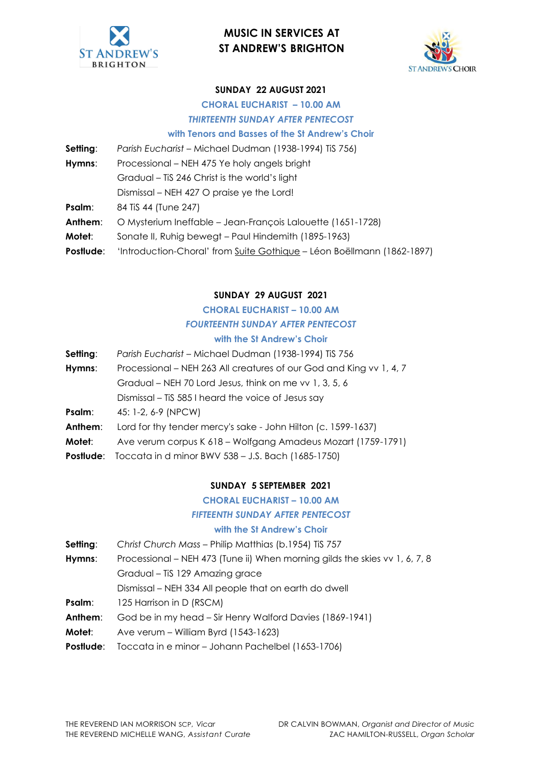



#### **SUNDAY 22 AUGUST 2021**

# **CHORAL EUCHARIST – 10.00 AM**

*THIRTEENTH SUNDAY AFTER PENTECOST*

#### **with Tenors and Basses of the St Andrew's Choir**

| Setting:  | Parish Eucharist - Michael Dudman (1938-1994) TiS 756)                 |
|-----------|------------------------------------------------------------------------|
| Hymns:    | Processional – NEH 475 Ye holy angels bright                           |
|           | Gradual – Tis 246 Christ is the world's light                          |
|           | Dismissal – NEH 427 O praise ye the Lord!                              |
| Psalm:    | 84 TiS 44 (Tune 247)                                                   |
| Anthem:   | O Mysterium Ineffable - Jean-François Lalouette (1651-1728)            |
| Motet:    | Sonate II, Ruhig bewegt – Paul Hindemith (1895-1963)                   |
| Postlude: | 'Introduction-Choral' from Suite Gothique – Léon Boëllmann (1862-1897) |

#### **SUNDAY 29 AUGUST 2021**

# **CHORAL EUCHARIST – 10.00 AM** *FOURTEENTH SUNDAY AFTER PENTECOST*

### **with the St Andrew's Choir**

- **Setting**: *Parish Eucharist*  Michael Dudman (1938-1994) TiS 756
- **Hymns**: Processional NEH 263 All creatures of our God and King vv 1, 4, 7 Gradual – NEH 70 Lord Jesus, think on me vv 1, 3, 5, 6 Dismissal – TiS 585 I heard the voice of Jesus say **Psalm**: 45: 1-2, 6-9 (NPCW) Anthem: Lord for thy tender mercy's sake - John Hilton (c. 1599-1637) **Motet**: Ave verum corpus K 618 – Wolfgang Amadeus Mozart (1759-1791)
- **Postlude**: Toccata in d minor BWV 538 J.S. Bach (1685-1750)

#### **SUNDAY 5 SEPTEMBER 2021**

#### **CHORAL EUCHARIST – 10.00 AM**

### *FIFTEENTH SUNDAY AFTER PENTECOST*

#### **with the St Andrew's Choir**

- **Setting:** Christ Church Mass Philip Matthias (b.1954) TiS 757
- **Hymns**: Processional NEH 473 (Tune ii) When morning gilds the skies vv 1, 6, 7, 8
	- Gradual TiS 129 Amazing grace
	- Dismissal NEH 334 All people that on earth do dwell
- **Psalm:** 125 Harrison in D (RSCM)
- **Anthem**: God be in my head Sir Henry Walford Davies (1869-1941)
- **Motet**: Ave verum William Byrd (1543-1623)
- **Postlude**: Toccata in e minor Johann Pachelbel (1653-1706)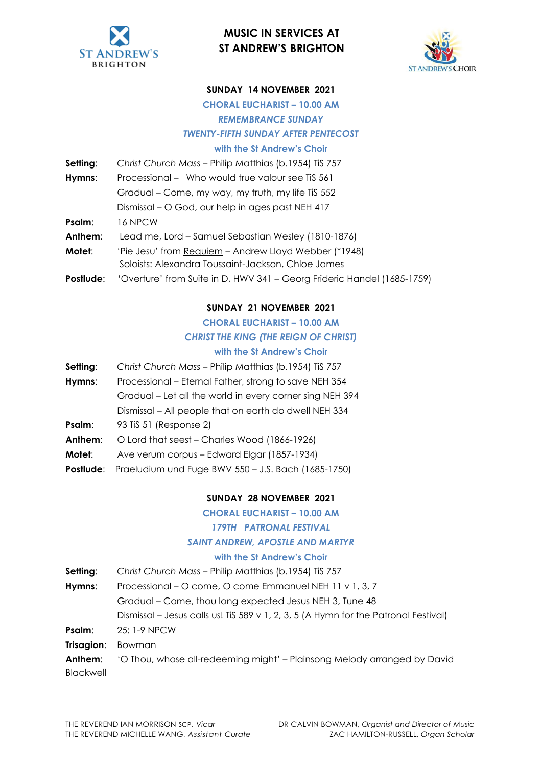



#### **SUNDAY 14 NOVEMBER 2021**

**CHORAL EUCHARIST – 10.00 AM**

*REMEMBRANCE SUNDAY*

*TWENTY-FIFTH SUNDAY AFTER PENTECOST*

#### **with the St Andrew's Choir**

| Setting:  | Christ Church Mass - Philip Matthias (b.1954) TiS 757                   |
|-----------|-------------------------------------------------------------------------|
| Hymns:    | Processional – Who would true valour see TiS 561                        |
|           | Gradual – Come, my way, my truth, my life TiS 552                       |
|           | Dismissal – O God, our help in ages past NEH 417                        |
| Psalm:    | 16 NPCW                                                                 |
| Anthem:   | Lead me, Lord - Samuel Sebastian Wesley (1810-1876)                     |
| Motet:    | 'Pie Jesu' from Requiem – Andrew Lloyd Webber (*1948)                   |
|           | Soloists: Alexandra Toussaint-Jackson, Chloe James                      |
| Postlude: | 'Overture' from Suite in D, HWV 341 - Georg Frideric Handel (1685-1759) |

#### **SUNDAY 21 NOVEMBER 2021**

#### **CHORAL EUCHARIST – 10.00 AM**

#### *CHRIST THE KING (THE REIGN OF CHRIST)*

#### **with the St Andrew's Choir**

- **Setting:** *Christ Church Mass Philip Matthias (b.1954) TiS 757*
- **Hymns**: Processional Eternal Father, strong to save NEH 354 Gradual – Let all the world in every corner sing NEH 394
- Dismissal All people that on earth do dwell NEH 334
- **Psalm:** 93 TiS 51 (Response 2)
- **Anthem**: O Lord that seest Charles Wood (1866-1926)
- **Motet**: Ave verum corpus Edward Elgar (1857-1934)
- **Postlude**: Praeludium und Fuge BWV 550 J.S. Bach (1685-1750)

#### **SUNDAY 28 NOVEMBER 2021**

#### **CHORAL EUCHARIST – 10.00 AM**

#### *179TH PATRONAL FESTIVAL*

#### *SAINT ANDREW, APOSTLE AND MARTYR*

#### **with the St Andrew's Choir**

| Setting: | Christ Church Mass - Philip Matthias (b.1954) TiS 757                               |
|----------|-------------------------------------------------------------------------------------|
| Hymns:   | Processional – O come, O come Emmanuel NEH 11 v 1, 3, 7                             |
|          | Gradual – Come, thou long expected Jesus NEH 3, Tune 48                             |
|          | Dismissal – Jesus calls us! TiS 589 v 1, 2, 3, 5 (A Hymn for the Patronal Festival) |

- **Psalm**: 25: 1-9 NPCW
- **Trisagion**: Bowman

**Anthem:** 'O Thou, whose all-redeeming might' – Plainsong Melody arranged by David Blackwell